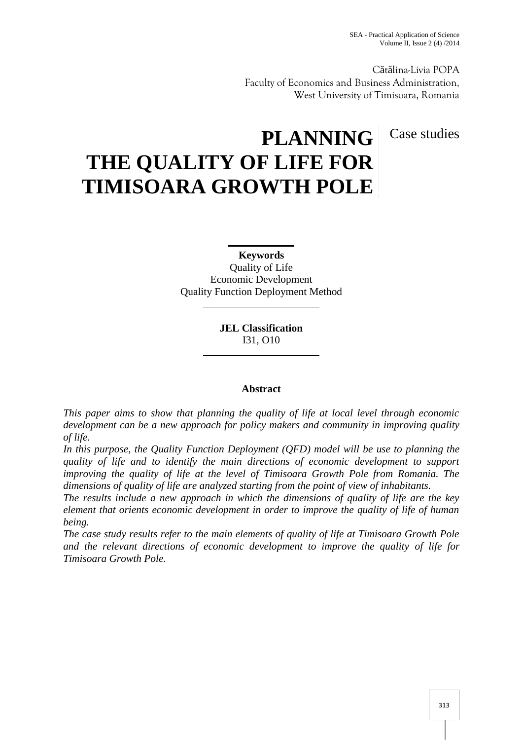C t lina-Livia POPA Faculty of Economics and Business Administration, West University of Timisoara, Romania

# **PLANNING** Case studies **THE QUALITY OF LIFE FOR TIMISOARA GROWTH POLE**

**Keywords**

Quality of Life Economic Development Quality Function Deployment Method

> **JEL Classification** I31, O10

# **Abstract**

*This paper aims to show that planning the quality of life at local level through economic development can be a new approach for policy makers and community in improving quality of life.*

*In this purpose, the Quality Function Deployment (QFD) model will be use to planning the quality of life and to identify the main directions of economic development to support improving the quality of life at the level of Timisoara Growth Pole from Romania. The dimensions of quality of life are analyzed starting from the point of view of inhabitants.*

*The results include a new approach in which the dimensions of quality of life are the key element that orients economic development in order to improve the quality of life of human being.*

*The case study results refer to the main elements of quality of life at Timisoara Growth Pole and the relevant directions of economic development to improve the quality of life for Timisoara Growth Pole.*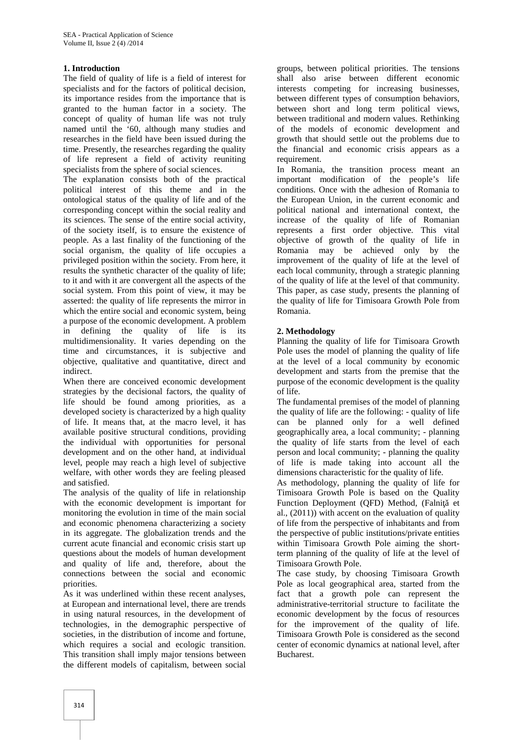## **1. Introduction**

The field of quality of life is a field of interest for specialists and for the factors of political decision, its importance resides from the importance that is granted to the human factor in a society. The concept of quality of human life was not truly named until the '60, although many studies and researches in the field have been issued during the time. Presently, the researches regarding the quality of life represent a field of activity reuniting specialists from the sphere of social sciences.

The explanation consists both of the practical political interest of this theme and in the ontological status of the quality of life and of the corresponding concept within the social reality and its sciences. The sense of the entire social activity, of the society itself, is to ensure the existence of people. As a last finality of the functioning of the social organism, the quality of life occupies a privileged position within the society. From here, it results the synthetic character of the quality of life; to it and with it are convergent all the aspects of the social system. From this point of view, it may be asserted: the quality of life represents the mirror in which the entire social and economic system, being a purpose of the economic development. A problem in defining the quality of life is its multidimensionality. It varies depending on the time and circumstances, it is subjective and objective, qualitative and quantitative, direct and indirect.

When there are conceived economic development strategies by the decisional factors, the quality of life should be found among priorities, as a developed society is characterized by a high quality of life. It means that, at the macro level, it has available positive structural conditions, providing the individual with opportunities for personal development and on the other hand, at individual level, people may reach a high level of subjective welfare, with other words they are feeling pleased and satisfied.

The analysis of the quality of life in relationship with the economic development is important for monitoring the evolution in time of the main social and economic phenomena characterizing a society in its aggregate. The globalization trends and the current acute financial and economic crisis start up questions about the models of human development and quality of life and, therefore, about the connections between the social and economic priorities.

As it was underlined within these recent analyses, at European and international level, there are trends in using natural resources, in the development of technologies, in the demographic perspective of societies, in the distribution of income and fortune, which requires a social and ecologic transition. This transition shall imply major tensions between the different models of capitalism, between social

groups, between political priorities. The tensions shall also arise between different economic interests competing for increasing businesses, between different types of consumption behaviors, between short and long term political views, between traditional and modern values. Rethinking of the models of economic development and growth that should settle out the problems due to the financial and economic crisis appears as a requirement.

In Romania, the transition process meant an important modification of the people's life conditions. Once with the adhesion of Romania to the European Union, in the current economic and political national and international context, the increase of the quality of life of Romanian represents a first order objective. This vital objective of growth of the quality of life in Romania may be achieved only by the improvement of the quality of life at the level of each local community, through a strategic planning of the quality of life at the level of that community. This paper, as case study, presents the planning of the quality of life for Timisoara Growth Pole from Romania.

## **2. Methodology**

Planning the quality of life for Timisoara Growth Pole uses the model of planning the quality of life at the level of a local community by economic development and starts from the premise that the purpose of the economic development is the quality of life.

The fundamental premises of the model of planning the quality of life are the following: - quality of life can be planned only for a well defined geographically area, a local community; - planning the quality of life starts from the level of each person and local community; - planning the quality of life is made taking into account all the dimensions characteristic for the quality of life.

As methodology, planning the quality of life for Timisoara Growth Pole is based on the Quality Function Deployment (QFD) Method, (Falni et al., (2011)) with accent on the evaluation of quality of life from the perspective of inhabitants and from the perspective of public institutions/private entities within Timisoara Growth Pole aiming the shortterm planning of the quality of life at the level of Timisoara Growth Pole.

The case study, by choosing Timisoara Growth Pole as local geographical area, started from the fact that a growth pole can represent the administrative-territorial structure to facilitate the economic development by the focus of resources for the improvement of the quality of life. Timisoara Growth Pole is considered as the second center of economic dynamics at national level, after Bucharest.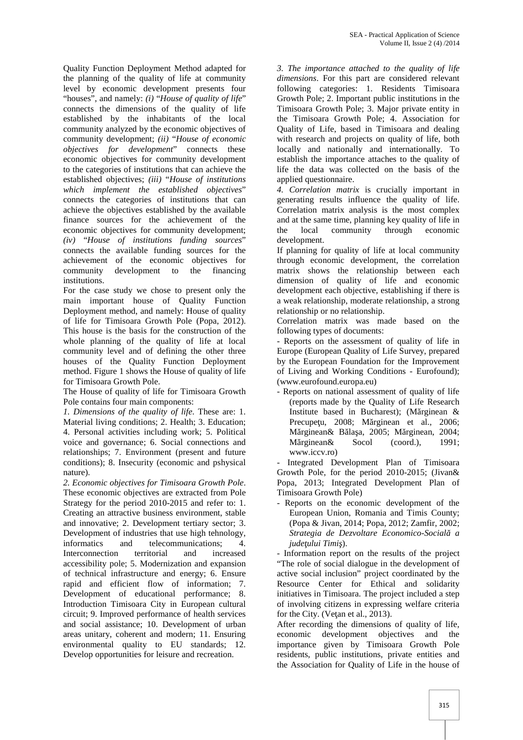Quality Function Deployment Method adapted for the planning of the quality of life at community level by economic development presents four "houses", and namely: *(i)* "*House of quality of life*" connects the dimensions of the quality of life established by the inhabitants of the local community analyzed by the economic objectives of community development; *(ii)* "*House of economic objectives for development*" connects these economic objectives for community development to the categories of institutions that can achieve the established objectives; *(iii)* "*House of institutions which implement the established objectives*" connects the categories of institutions that can achieve the objectives established by the available finance sources for the achievement of the economic objectives for community development; *(iv)* "*House of institutions funding sources*" connects the available funding sources for the achievement of the economic objectives for community development to the financing institutions.

For the case study we chose to present only the main important house of Quality Function Deployment method, and namely: House of quality of life for Timisoara Growth Pole (Popa, 2012). This house is the basis for the construction of the whole planning of the quality of life at local community level and of defining the other three houses of the Quality Function Deployment method. Figure 1 shows the House of quality of life for Timisoara Growth Pole.

The House of quality of life for Timisoara Growth Pole contains four main components:

*1. Dimensions of the quality of life*. These are: 1. Material living conditions; 2. Health; 3. Education; 4. Personal activities including work; 5. Political voice and governance; 6. Social connections and relationships; 7. Environment (present and future conditions); 8. Insecurity (economic and pshysical nature).

*2. Economic objectives for Timisoara Growth Pole*. These economic objectives are extracted from Pole Strategy for the period 2010-2015 and refer to: 1. Creating an attractive business environment, stable and innovative; 2. Development tertiary sector; 3. Development of industries that use high tehnology, informatics and telecommunications; 4. Interconnection territorial and increased accessibility pole; 5. Modernization and expansion of technical infrastructure and energy; 6. Ensure rapid and efficient flow of information; 7. Development of educational performance; 8. Introduction Timisoara City in European cultural circuit; 9. Improved performance of health services and social assistance; 10. Development of urban areas unitary, coherent and modern; 11. Ensuring environmental quality to EU standards; 12. Develop opportunities for leisure and recreation.

*3. The importance attached to the quality of life dimensions*. For this part are considered relevant following categories: 1. Residents Timisoara Growth Pole; 2. Important public institutions in the Timisoara Growth Pole; 3. Major private entity in the Timisoara Growth Pole; 4. Association for Quality of Life, based in Timisoara and dealing with research and projects on quality of life, both locally and nationally and internationally. To establish the importance attaches to the quality of life the data was collected on the basis of the applied questionnaire.

*4. Correlation matrix* is crucially important in generating results influence the quality of life. Correlation matrix analysis is the most complex and at the same time, planning key quality of life in the local community through economic development.

If planning for quality of life at local community through economic development, the correlation matrix shows the relationship between each dimension of quality of life and economic development each objective, establishing if there is a weak relationship, moderate relationship, a strong relationship or no relationship.

Correlation matrix was made based on the following types of documents:

- Reports on the assessment of quality of life in Europe (European Quality of Life Survey, prepared by the European Foundation for the Improvement of Living and Working Conditions - Eurofound); (www.eurofound.europa.eu)

- Reports on national assessment of quality of life (reports made by the Quality of Life Research Institute based in Bucharest); (M rginean  $\&$ Precupe u, 2008; M rginean et al., 2006; M rginean $\&$  B la a, 2005; M rginean, 2004; M rginean& Socol (coord.), 1991; www.iccv.ro)

Integrated Development Plan of Timisoara Growth Pole, for the period 2010-2015; (Jivan& Popa, 2013; Integrated Development Plan of Timisoara Growth Pole)

- Reports on the economic development of the European Union, Romania and Timis County; (Popa & Jivan, 2014; Popa, 2012; Zamfir, 2002; *Strategia de Dezvoltare Economico-Socială a jude ului Timi*).

- Information report on the results of the project "The role of social dialogue in the development of active social inclusion" project coordinated by the Resource Center for Ethical and solidarity initiatives in Timisoara. The project included a step of involving citizens in expressing welfare criteria for the City. (Ve an et al.,  $2013$ ).

After recording the dimensions of quality of life, development objectives and the importance given by Timisoara Growth Pole residents, public institutions, private entities and the Association for Quality of Life in the house of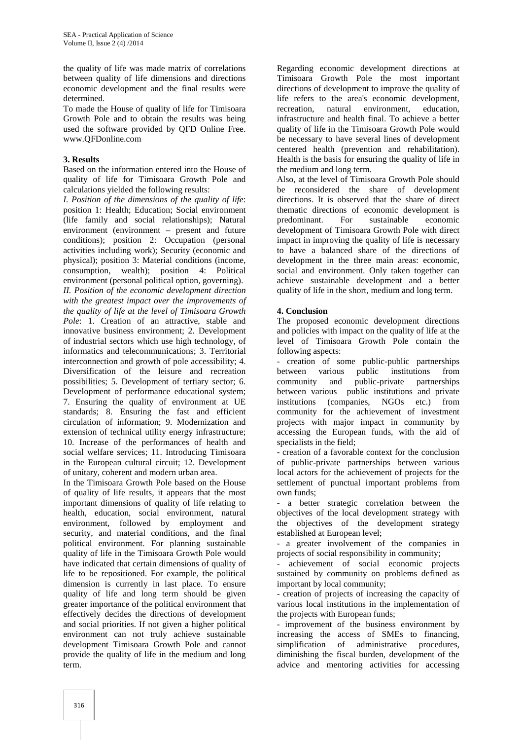the quality of life was made matrix of correlations between quality of life dimensions and directions economic development and the final results were determined.

To made the House of quality of life for Timisoara Growth Pole and to obtain the results was being used the software provided by QFD Online Free. www.QFDonline.com

#### **3. Results**

Based on the information entered into the House of quality of life for Timisoara Growth Pole and calculations yielded the following results:

*I. Position of the dimensions of the quality of life*: position 1: Health; Education; Social environment (life family and social relationships); Natural environment (environment – present and future conditions); position 2: Occupation (personal activities including work); Security (economic and physical); position 3: Material conditions (income, consumption, wealth); position 4: Political environment (personal political option, governing).

*II. Position of the economic development direction with the greatest impact over the improvements of the quality of life at the level of Timisoara Growth Pole*: 1. Creation of an attractive, stable and innovative business environment; 2. Development of industrial sectors which use high technology, of informatics and telecommunications; 3. Territorial interconnection and growth of pole accessibility; 4. Diversification of the leisure and recreation between possibilities; 5. Development of tertiary sector; 6. Development of performance educational system; 7. Ensuring the quality of environment at UE standards; 8. Ensuring the fast and efficient circulation of information; 9. Modernization and extension of technical utility energy infrastructure; 10. Increase of the performances of health and social welfare services; 11. Introducing Timisoara in the European cultural circuit; 12. Development of unitary, coherent and modern urban area.

In the Timisoara Growth Pole based on the House of quality of life results, it appears that the most important dimensions of quality of life relating to health, education, social environment, natural environment, followed by employment and security, and material conditions, and the final political environment. For planning sustainable quality of life in the Timisoara Growth Pole would have indicated that certain dimensions of quality of life to be repositioned. For example, the political dimension is currently in last place. To ensure quality of life and long term should be given greater importance of the political environment that effectively decides the directions of development and social priorities. If not given a higher political environment can not truly achieve sustainable development Timisoara Growth Pole and cannot provide the quality of life in the medium and long term.

Regarding economic development directions at Timisoara Growth Pole the most important directions of development to improve the quality of life refers to the area's economic development, recreation, natural environment, education, infrastructure and health final. To achieve a better quality of life in the Timisoara Growth Pole would be necessary to have several lines of development centered health (prevention and rehabilitation). Health is the basis for ensuring the quality of life in the medium and long term.

Also, at the level of Timisoara Growth Pole should be reconsidered the share of development directions. It is observed that the share of direct thematic directions of economic development is predominant. For sustainable economic development of Timisoara Growth Pole with direct impact in improving the quality of life is necessary to have a balanced share of the directions of development in the three main areas: economic, social and environment. Only taken together can achieve sustainable development and a better quality of life in the short, medium and long term.

## **4. Conclusion**

The proposed economic development directions and policies with impact on the quality of life at the level of Timisoara Growth Pole contain the following aspects:

- creation of some public-public partnerships various public institutions from community and public-private partnerships between various public institutions and private institutions (companies, NGOs etc.) from community for the achievement of investment projects with major impact in community by accessing the European funds, with the aid of specialists in the field;

- creation of a favorable context for the conclusion of public-private partnerships between various local actors for the achievement of projects for the settlement of punctual important problems from own funds;

- a better strategic correlation between the objectives of the local development strategy with the objectives of the development strategy established at European level;

- a greater involvement of the companies in projects of social responsibility in community;

- achievement of social economic projects sustained by community on problems defined as important by local community;

- creation of projects of increasing the capacity of various local institutions in the implementation of the projects with European funds;

- improvement of the business environment by increasing the access of SMEs to financing, simplification of administrative procedures, diminishing the fiscal burden, development of the advice and mentoring activities for accessing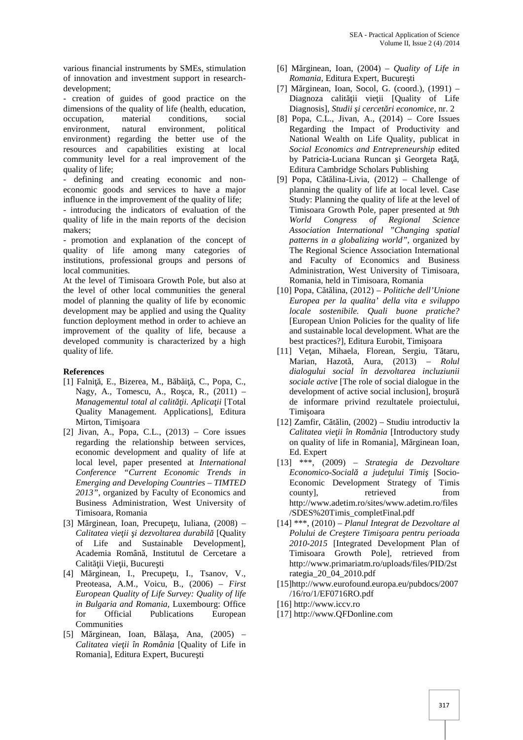various financial instruments by SMEs, stimulation of innovation and investment support in research development;

- creation of guides of good practice on the dimensions of the quality of life (health, education, occupation, material conditions, social environment, natural environment, political environment) regarding the better use of the resources and capabilities existing at local community level for a real improvement of the quality of life;

- defining and creating economic and non economic goods and services to have a major influence in the improvement of the quality of life; - introducing the indicators of evaluation of the quality of life in the main reports of the decision

makers; - promotion and explanation of the concept of quality of life among many categories of institutions, professional groups and persons of local communities.

At the level of Timisoara Growth Pole, but also at the level of other local communities the general model of planning the quality of life by economic development may be applied and using the Quality function deployment method in order to achieve an improvement of the quality of life, because a developed community is characterized by a high quality of life.

#### **References**

- [1] Falni, E., Bizerea, M., B $\mathfrak b$  i, C., Popa, C., Nagy, A., Tomescu, A., Ro ca, R.,  $(2011)$  – *Managementul total al calit ii. Aplica ii* [Total] Quality Management. Applications], Editura Mirton, Timi oara
- [2] Jivan, A., Popa, C.L., (2013) Core issues regarding the relationship between services, economic development and quality of life at local level, paper presented at *International Conference "Current Economic Trends in Emerging and Developing Countries – TIMTED 2013"*, organized by Faculty of Economics and Business Administration, West University of Timisoara, Romania
- [3] M rginean, Ioan, Precupe u, Iuliana,  $(2008)$  *Calitatea vie ii i dezvoltarea durabil* [Quality of Life and Sustainable Development], Academia Român, Institutul de Cercetare a Calit ii Vie ii, Bucure ti
- [4] M rginean, I., Precupe u, I., Tsanov, V., Preoteasa, A.M., Voicu, B., (2006) – *First European Quality of Life Survey: Quality of life in Bulgaria and Romania,* Luxembourg: Office for Official Publications European Communities
- [5] M rginean, Ioan, B la a, Ana,  $(2005)$  *Calitatea vieţii în România* [Quality of Life in Romania], Editura Expert, Bucure ti
- [6] M rginean, Ioan,  $(2004)$  *Quality of Life in Romania*, Editura Expert, Bucure ti
- [7] M rginean, Ioan, Socol, G. (coord.),  $(1991)$  Diagnoza calit ii vie ii [Quality of Life Diagnosis], *Studii i cercet ri economice*, nr. 2
- [8] Popa, C.L., Jivan, A., (2014) Core Issues Regarding the Impact of Productivity and National Wealth on Life Quality, publicat in *Social Economics and Entrepreneurship* edited by Patricia-Luciana Runcan i Georgeta Ra, Editura Cambridge Scholars Publishing
- [9] Popa, C t lina-Livia,  $(2012)$  Challenge of planning the quality of life at local level. Case Study: Planning the quality of life at the level of Timisoara Growth Pole, paper presented at *9th World Congress of Regional Science Association International "Changing spatial patterns in a globalizing world",* organized by The Regional Science Association International and Faculty of Economics and Business Administration, West University of Timisoara, Romania, held in Timisoara, Romania
- [10] Popa, Cătălina, (2012) *Politiche dell'Unione Europea per la qualita' della vita e sviluppo locale sostenibile. Quali buone pratiche?* [European Union Policies for the quality of life and sustainable local development. What are the best practices?], Editura Eurobit, Timi oara
- [11] Ve an, Mihaela, Florean, Sergiu, T taru, Marian, Hazot, Aura, (2013) – *Rolul dialogului social în dezvoltarea incluziunii sociale active* [The role of social dialogue in the development of active social inclusion], bro ur de informare privind rezultatele proiectului, Timi oara
- [12] Zamfir, C t lin,  $(2002)$  Studiu introductiv la *Calitatea vie ii în România* [Introductory study on quality of life in Romania], M rginean Ioan, Ed. Expert
- [13] \*\*\*, (2009) *Strategia de Dezvoltare Economico-Socială a judeţului Timiş* [Socio- Economic Development Strategy of Timis countyl, retrieved from http://www.adetim.ro/sites/www.adetim.ro/files /SDES%20Timis\_completFinal.pdf
- [14] \*\*\*, (2010) *Planul Integrat de Dezvoltare al Polului de Cre tere Timi oara pentru perioada 2010-2015* [Integrated Development Plan of Timisoara Growth Pole], retrieved from http://www.primariatm.ro/uploads/files/PID/2st rategia\_20\_04\_2010.pdf
- [15]http://www.eurofound.europa.eu/pubdocs/2007 /16/ro/1/EF0716RO.pdf
- [16] http://www.iccv.ro
- [17] http://www.QFDonline.com